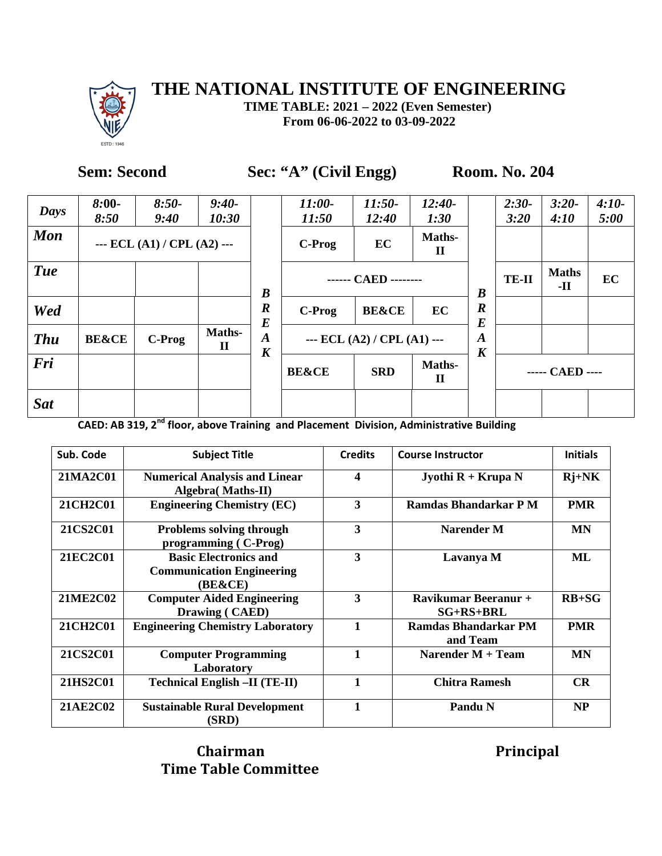

**TIME TABLE: 2021 – 2022 (Even Semester) From 06-06-2022 to 03-09-2022**

### **Sem: Second** Sec: "A" (Civil Engg) Room. No. 204

| Days       | $8:00-$<br>8:50  | $8:50-$<br>9:40               | $9:40-$<br>10:30              |                                      | $11:00-$<br>11:50 | $11:50-$<br>12:40             | $12:40-$<br>1:30      |                                      | $2:30-$<br>3:20 | $3:20-$<br>4:10     | $4:10-$<br>5:00 |
|------------|------------------|-------------------------------|-------------------------------|--------------------------------------|-------------------|-------------------------------|-----------------------|--------------------------------------|-----------------|---------------------|-----------------|
| <b>Mon</b> |                  | --- ECL $(A1) / CPL (A2)$ --- |                               |                                      | C-Prog            | EC                            | Maths-<br>$\mathbf H$ |                                      |                 |                     |                 |
| <b>Tue</b> |                  |                               |                               | $\boldsymbol{B}$                     |                   | ------ CAED --------          |                       | $\boldsymbol{B}$                     | <b>TE-II</b>    | <b>Maths</b><br>-II | EC              |
| Wed        |                  |                               |                               | $\boldsymbol{R}$<br>$\bm E$          | C-Prog            | <b>BE&amp;CE</b>              | EC                    | $\boldsymbol{R}$<br>$\boldsymbol{E}$ |                 |                     |                 |
| <b>Thu</b> | <b>BE&amp;CE</b> | C-Prog                        | <b>Maths-</b><br>$\mathbf{I}$ | $\boldsymbol{A}$<br>$\boldsymbol{K}$ |                   | --- ECL $(A2) / CPL (A1)$ --- |                       | $\boldsymbol{A}$<br>$\boldsymbol{K}$ |                 |                     |                 |
| Fri        |                  |                               |                               |                                      | <b>BE&amp;CE</b>  | <b>SRD</b>                    | Maths-<br>$\mathbf H$ |                                      |                 | ----- CAED ----     |                 |
| <b>Sat</b> |                  |                               |                               |                                      |                   |                               |                       |                                      |                 |                     |                 |

**CAED: AB 319, 2nd floor, above Training and Placement Division, Administrative Building**

| Sub. Code | <b>Subject Title</b>                                                        | <b>Credits</b> | <b>Course Instructor</b>                   | <b>Initials</b> |
|-----------|-----------------------------------------------------------------------------|----------------|--------------------------------------------|-----------------|
| 21MA2C01  | <b>Numerical Analysis and Linear</b><br><b>Algebra</b> (Maths-II)           | 4              | <b>Jyothi R + Krupa N</b>                  | $Rj+NK$         |
| 21CH2C01  | <b>Engineering Chemistry (EC)</b>                                           | 3              | <b>Ramdas Bhandarkar P M</b>               | <b>PMR</b>      |
| 21CS2C01  | <b>Problems solving through</b><br>programming (C-Prog)                     | 3              | <b>Narender M</b>                          | MN              |
| 21EC2C01  | <b>Basic Electronics and</b><br><b>Communication Engineering</b><br>(BE&CE) | 3              | Lavanya M                                  | ML              |
| 21ME2C02  | <b>Computer Aided Engineering</b><br>Drawing (CAED)                         | 3              | <b>Ravikumar Beeranur +</b><br>$SG+RS+BRL$ | $RB+SG$         |
| 21CH2C01  | <b>Engineering Chemistry Laboratory</b>                                     | 1              | <b>Ramdas Bhandarkar PM</b><br>and Team    | <b>PMR</b>      |
| 21CS2C01  | <b>Computer Programming</b><br>Laboratory                                   |                | Narender M + Team                          | <b>MN</b>       |
| 21HS2C01  | <b>Technical English -II (TE-II)</b>                                        |                | <b>Chitra Ramesh</b>                       | CR              |
| 21AE2C02  | <b>Sustainable Rural Development</b><br>(SRD)                               |                | <b>Pandu N</b>                             | <b>NP</b>       |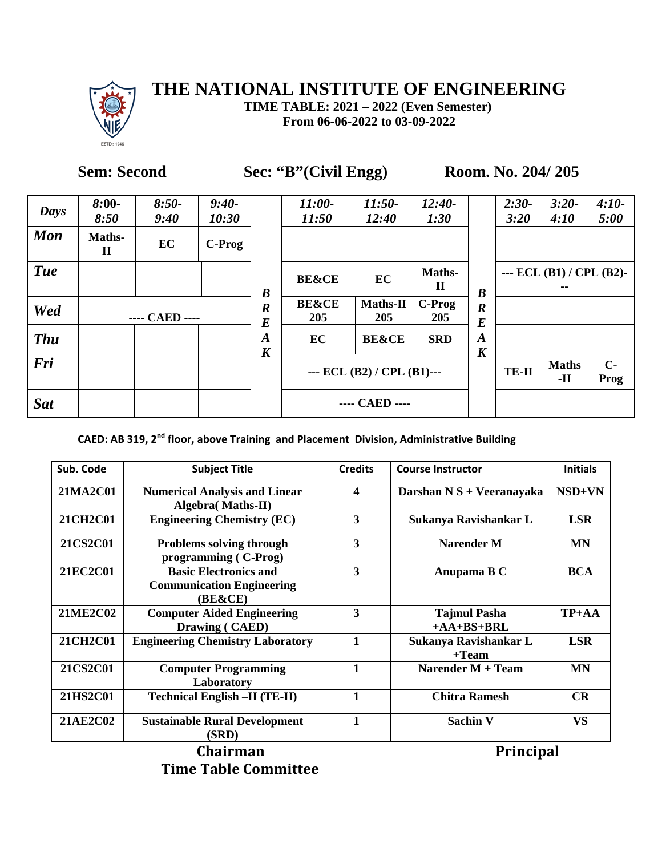

**TIME TABLE: 2021 – 2022 (Even Semester) From 06-06-2022 to 03-09-2022**

### **Sem: Second Sec: "B"(Civil Engg) Room. No. 204/ 205**

| Days       | $8:00-$<br>8:50        | $8:50-$<br>9:40 | $9:40-$<br>10:30 |                                      | $11:00-$<br>11:50       | $11:50-$<br>12:40             | $12:40-$<br>1:30       |                                      | $2:30-$<br>3:20 | $3:20-$<br>4:10             | $4:10-$<br>5:00 |
|------------|------------------------|-----------------|------------------|--------------------------------------|-------------------------|-------------------------------|------------------------|--------------------------------------|-----------------|-----------------------------|-----------------|
| <b>Mon</b> | Maths-<br>$\mathbf{I}$ | EC              | C-Prog           |                                      |                         |                               |                        |                                      |                 |                             |                 |
| <b>Tue</b> |                        |                 |                  | $\boldsymbol{B}$                     | <b>BE&amp;CE</b>        | EC                            | Maths-<br>$\mathbf{I}$ | $\boldsymbol{B}$                     |                 | $-$ ECL (B1) / CPL (B2) $-$ |                 |
| Wed        | ---- CAED ----         |                 |                  | $\boldsymbol{R}$<br>$\boldsymbol{E}$ | <b>BE&amp;CE</b><br>205 | <b>Maths-II</b><br>205        | C-Prog<br>205          | $\boldsymbol{R}$<br>$\bm E$          |                 |                             |                 |
| <b>Thu</b> |                        |                 |                  | $\boldsymbol{A}$<br>$\boldsymbol{K}$ | EC                      | <b>BE&amp;CE</b>              | <b>SRD</b>             | $\boldsymbol{A}$<br>$\boldsymbol{K}$ |                 |                             |                 |
| Fri        |                        |                 |                  |                                      |                         | --- ECL $(B2) / CPL (B1)$ --- |                        |                                      | <b>TE-II</b>    | <b>Maths</b><br>-11         | $C -$<br>Prog   |
| <b>Sat</b> |                        |                 |                  |                                      |                         | ---- CAED ----                |                        |                                      |                 |                             |                 |

**CAED: AB 319, 2nd floor, above Training and Placement Division, Administrative Building**

| Sub. Code       | <b>Subject Title</b>                                                        | <b>Credits</b>   | <b>Course Instructor</b>            | <b>Initials</b> |
|-----------------|-----------------------------------------------------------------------------|------------------|-------------------------------------|-----------------|
| 21MA2C01        | <b>Numerical Analysis and Linear</b><br><b>Algebra</b> (Maths-II)           | $\boldsymbol{4}$ | Darshan $N S + V$ eeranayaka        | $NSD+VN$        |
| 21CH2C01        | <b>Engineering Chemistry (EC)</b>                                           | 3                | Sukanya Ravishankar L               | <b>LSR</b>      |
| 21CS2C01        | Problems solving through<br>programming (C-Prog)                            | 3                | <b>Narender M</b>                   | <b>MN</b>       |
| <b>21EC2C01</b> | <b>Basic Electronics and</b><br><b>Communication Engineering</b><br>(BE&CE) | 3                | Anupama B C                         | <b>BCA</b>      |
| 21ME2C02        | <b>Computer Aided Engineering</b><br>Drawing (CAED)                         | 3                | <b>Tajmul Pasha</b><br>$+AA+BS+BRL$ | $TP+AA$         |
| 21CH2C01        | <b>Engineering Chemistry Laboratory</b>                                     | $\mathbf{1}$     | Sukanya Ravishankar L<br>$+$ Team   | <b>LSR</b>      |
| 21CS2C01        | <b>Computer Programming</b><br>Laboratory                                   | 1                | Narender M + Team                   | <b>MN</b>       |
| 21HS2C01        | <b>Technical English -II (TE-II)</b>                                        | 1                | <b>Chitra Ramesh</b>                | CR              |
| 21AE2C02        | <b>Sustainable Rural Development</b><br>(SRD)                               | $\mathbf{1}$     | <b>Sachin V</b>                     | <b>VS</b>       |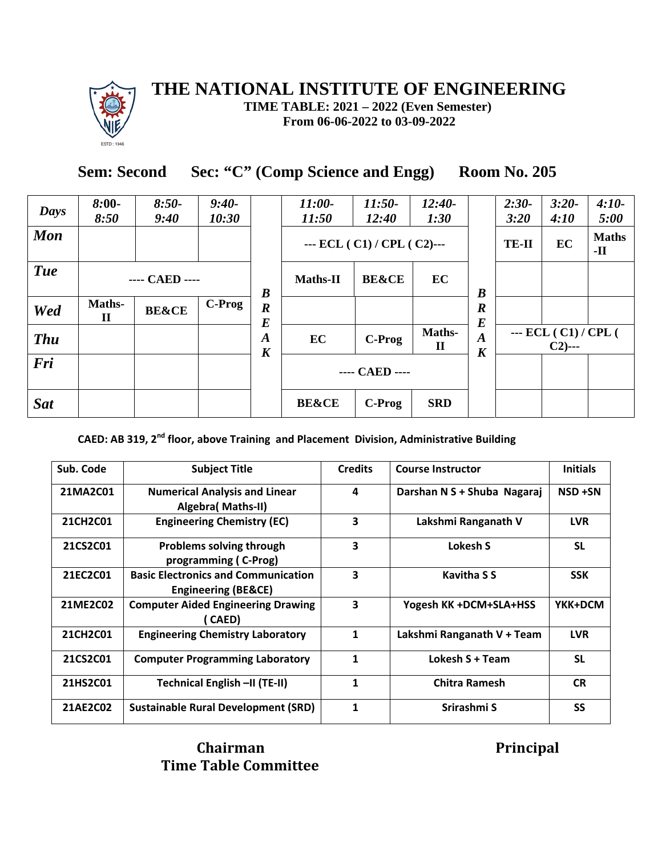

**TIME TABLE: 2021 – 2022 (Even Semester) From 06-06-2022 to 03-09-2022**

**Sem: Second Sec: "C" (Comp Science and Engg) Room No. 205**

| Days       | $8:00-$<br>8:50        | $8:50-$<br>9:40  | $9:40-$<br>10:30 |                                      | 11:00-<br>11:50  | $11:50-$<br>12:40          | $12:40-$<br>1:30       |                                      | $2:30-$<br>3:20 | $3:20-$<br>4:10                    | $4:10-$<br>5:00              |
|------------|------------------------|------------------|------------------|--------------------------------------|------------------|----------------------------|------------------------|--------------------------------------|-----------------|------------------------------------|------------------------------|
| <b>Mon</b> |                        |                  |                  |                                      |                  | --- ECL $(C1)/CPL(C2)$ --- |                        |                                      | <b>TE-II</b>    | EC                                 | <b>Maths</b><br>$\mathbf{H}$ |
| <b>Tue</b> |                        | ---- CAED ----   |                  | $\boldsymbol{B}$                     | <b>Maths-II</b>  | <b>BE&amp;CE</b>           | EC                     | $\boldsymbol{B}$                     |                 |                                    |                              |
| Wed        | Maths-<br>$\mathbf{I}$ | <b>BE&amp;CE</b> | C-Prog           | $\boldsymbol{R}$<br>$\bm E$          |                  |                            |                        | $\boldsymbol{R}$<br>$\bm E$          |                 |                                    |                              |
| <b>Thu</b> |                        |                  |                  | $\boldsymbol{A}$<br>$\boldsymbol{K}$ | EC               | C-Prog                     | Maths-<br>$\mathbf{I}$ | $\boldsymbol{A}$<br>$\boldsymbol{K}$ |                 | --- $ECL (C1) / CPL ($<br>$C2$ --- |                              |
| Fri        |                        |                  |                  |                                      |                  | ---- CAED ----             |                        |                                      |                 |                                    |                              |
| <b>Sat</b> |                        |                  |                  |                                      | <b>BE&amp;CE</b> | C-Prog                     | <b>SRD</b>             |                                      |                 |                                    |                              |
|            |                        |                  |                  |                                      |                  |                            |                        |                                      |                 |                                    |                              |

**CAED: AB 319, 2nd floor, above Training and Placement Division, Administrative Building**

| Sub. Code       | <b>Subject Title</b>                                                         | <b>Credits</b> | <b>Course Instructor</b>    | <b>Initials</b> |
|-----------------|------------------------------------------------------------------------------|----------------|-----------------------------|-----------------|
| 21MA2C01        | <b>Numerical Analysis and Linear</b><br>Algebra (Maths-II)                   | 4              | Darshan N S + Shuba Nagaraj | NSD +SN         |
| <b>21CH2C01</b> | <b>Engineering Chemistry (EC)</b>                                            | 3              | Lakshmi Ranganath V         | <b>LVR</b>      |
| 21CS2C01        | <b>Problems solving through</b><br>programming (C-Prog)                      | 3              | Lokesh S                    | <b>SL</b>       |
| 21EC2C01        | <b>Basic Electronics and Communication</b><br><b>Engineering (BE&amp;CE)</b> | 3              | <b>Kavitha S S</b>          | <b>SSK</b>      |
| 21ME2C02        | <b>Computer Aided Engineering Drawing</b><br>CAED)                           | 3              | Yogesh KK +DCM+SLA+HSS      | YKK+DCM         |
| 21CH2C01        | <b>Engineering Chemistry Laboratory</b>                                      | 1              | Lakshmi Ranganath V + Team  | <b>LVR</b>      |
| 21CS2C01        | <b>Computer Programming Laboratory</b>                                       | 1              | Lokesh S + Team             | <b>SL</b>       |
| 21HS2C01        | Technical English -II (TE-II)                                                | $\mathbf{1}$   | <b>Chitra Ramesh</b>        | <b>CR</b>       |
| 21AE2C02        | <b>Sustainable Rural Development (SRD)</b>                                   | 1              | Srirashmi S                 | SS              |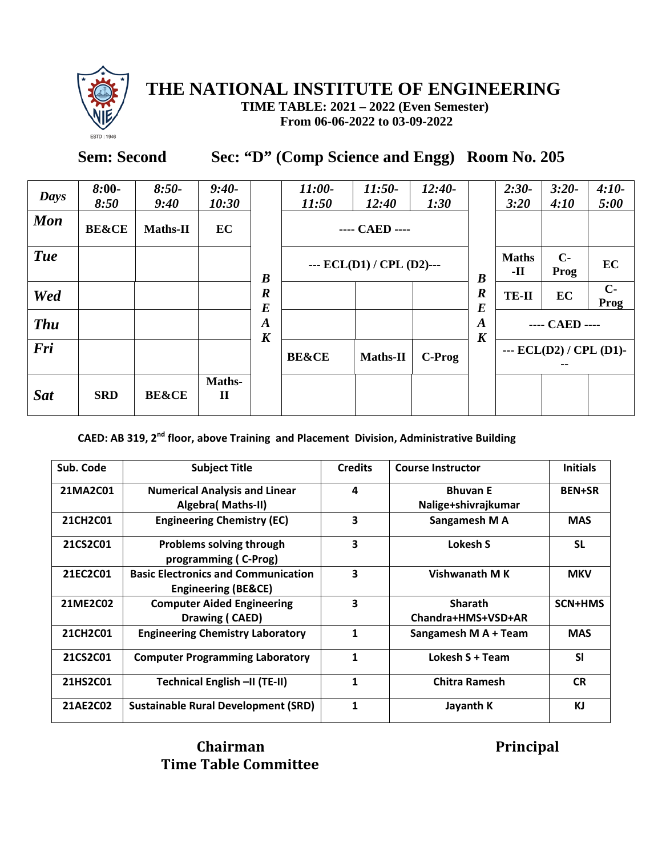

**TIME TABLE: 2021 – 2022 (Even Semester) From 06-06-2022 to 03-09-2022**

## **Sem: Second Sec: "D" (Comp Science and Engg) Room No. 205**

| Days       | $8:00-$<br>8:50  | $8:50-$<br>9:40  | $9:40-$<br>10:30       |                                      | $11:00-$<br>11:50 | $11:50-$<br>12:40           | $12:40-$<br>1:30 |                             | $2:30-$<br>3:20           | $3:20-$<br>4:10 | $4:10-$<br>5:00 |
|------------|------------------|------------------|------------------------|--------------------------------------|-------------------|-----------------------------|------------------|-----------------------------|---------------------------|-----------------|-----------------|
| <b>Mon</b> | <b>BE&amp;CE</b> | Maths-II         | EC                     |                                      |                   | ---- CAED ----              |                  |                             |                           |                 |                 |
| <b>Tue</b> |                  |                  |                        | $\boldsymbol{B}$                     |                   | --- $ECL(D1) / CPL(D2)$ --- |                  | $\boldsymbol{B}$            | <b>Maths</b><br>-11       | $C-$<br>Prog    | EC              |
| Wed        |                  |                  |                        | $\boldsymbol{R}$<br>$\boldsymbol{E}$ |                   |                             |                  | $\boldsymbol{R}$<br>$\bm E$ | <b>TE-II</b>              | EC              | $C-$<br>Prog    |
| <b>Thu</b> |                  |                  |                        | $\boldsymbol{A}$                     |                   |                             |                  | $\boldsymbol{A}$            |                           | ---- CAED ----  |                 |
| Fri        |                  |                  |                        | $\boldsymbol{K}$                     | <b>BE&amp;CE</b>  | Maths-II                    | C-Prog           | $\boldsymbol{K}$            | --- $ECL(D2) / CPL(D1)$ - |                 |                 |
| <b>Sat</b> | <b>SRD</b>       | <b>BE&amp;CE</b> | Maths-<br>$\mathbf{I}$ |                                      |                   |                             |                  |                             |                           |                 |                 |

**CAED: AB 319, 2nd floor, above Training and Placement Division, Administrative Building**

| Sub. Code       | <b>Subject Title</b>                                                         | <b>Credits</b> | <b>Course Instructor</b>               | <b>Initials</b> |
|-----------------|------------------------------------------------------------------------------|----------------|----------------------------------------|-----------------|
| 21MA2C01        | <b>Numerical Analysis and Linear</b><br><b>Algebra</b> (Maths-II)            | 4              | <b>Bhuvan E</b><br>Nalige+shivrajkumar | <b>BEN+SR</b>   |
| <b>21CH2C01</b> | <b>Engineering Chemistry (EC)</b>                                            | 3              | Sangamesh M A                          | <b>MAS</b>      |
| 21CS2C01        | <b>Problems solving through</b><br>programming (C-Prog)                      | 3              | Lokesh S                               | <b>SL</b>       |
| 21EC2C01        | <b>Basic Electronics and Communication</b><br><b>Engineering (BE&amp;CE)</b> | 3              | Vishwanath M K                         | <b>MKV</b>      |
| 21ME2C02        | <b>Computer Aided Engineering</b><br>Drawing (CAED)                          | 3              | <b>Sharath</b><br>Chandra+HMS+VSD+AR   | <b>SCN+HMS</b>  |
| 21CH2C01        | <b>Engineering Chemistry Laboratory</b>                                      | $\mathbf{1}$   | Sangamesh M A + Team                   | <b>MAS</b>      |
| 21CS2C01        | <b>Computer Programming Laboratory</b>                                       | 1              | Lokesh S + Team                        | <b>SI</b>       |
| 21HS2C01        | Technical English -II (TE-II)                                                | 1              | <b>Chitra Ramesh</b>                   | <b>CR</b>       |
| 21AE2C02        | <b>Sustainable Rural Development (SRD)</b>                                   | 1              | Jayanth K                              | KJ              |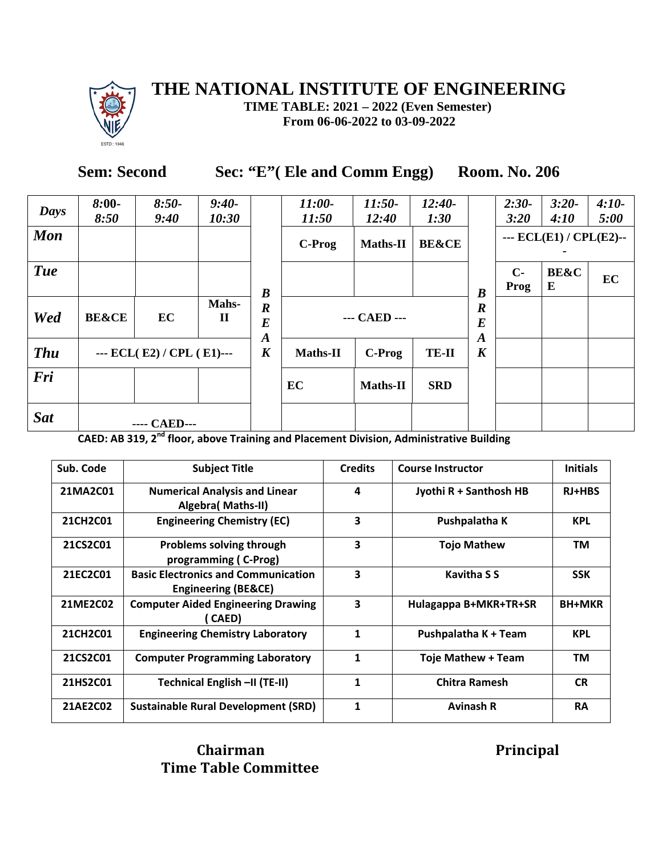

**TIME TABLE: 2021 – 2022 (Even Semester) From 06-06-2022 to 03-09-2022**

### **Sem: Second Sec: "E"( Ele and Comm Engg) Room. No. 206**

|            | $8:00-$          | $8:50-$                   | $9:40-$              |                                                          | $11:00-$        | $11:50-$        | $12:40-$         |                                                 | $2:30-$      | $3:20-$                 | $4:10-$ |
|------------|------------------|---------------------------|----------------------|----------------------------------------------------------|-----------------|-----------------|------------------|-------------------------------------------------|--------------|-------------------------|---------|
| Days       | 8:50             | 9:40                      | 10:30                |                                                          | 11:50           | 12:40           | 1:30             |                                                 | 3:20         | 4:10                    | 5:00    |
| <b>Mon</b> |                  |                           |                      |                                                          | C-Prog          | <b>Maths-II</b> | <b>BE&amp;CE</b> |                                                 |              | --- ECL(E1) / CPL(E2)-- |         |
| <b>Tue</b> |                  |                           |                      | $\boldsymbol{B}$                                         |                 |                 |                  | $\boldsymbol{B}$                                | $C-$<br>Prog | <b>BE&amp;C</b><br>E    | EC      |
| Wed        | <b>BE&amp;CE</b> | EC                        | Mahs-<br>$\mathbf H$ | $\boldsymbol{R}$<br>$\boldsymbol{E}$<br>$\boldsymbol{A}$ |                 | --- CAED ---    |                  | $\boldsymbol{R}$<br>$\bm E$<br>$\boldsymbol{A}$ |              |                         |         |
| <b>Thu</b> |                  | --- ECL(E2) / CPL (E1)--- |                      | $\boldsymbol{K}$                                         | <b>Maths-II</b> | C-Prog          | <b>TE-II</b>     | $\boldsymbol{K}$                                |              |                         |         |
| Fri        |                  |                           |                      |                                                          | EC              | Maths-II        | <b>SRD</b>       |                                                 |              |                         |         |
| <b>Sat</b> |                  | ---- CAED---              |                      |                                                          |                 |                 |                  |                                                 |              |                         |         |

**CAED: AB 319, 2nd floor, above Training and Placement Division, Administrative Building**

| Sub. Code | <b>Subject Title</b>                                              | <b>Credits</b> | <b>Course Instructor</b> | <b>Initials</b> |
|-----------|-------------------------------------------------------------------|----------------|--------------------------|-----------------|
| 21MA2C01  | <b>Numerical Analysis and Linear</b><br>Algebra( Maths-II)        | 4              | Jyothi R + Santhosh HB   | <b>RJ+HBS</b>   |
| 21CH2C01  | <b>Engineering Chemistry (EC)</b>                                 | 3              | Pushpalatha K            | <b>KPL</b>      |
| 21CS2C01  | <b>Problems solving through</b><br>programming (C-Prog)           | 3              | <b>Tojo Mathew</b>       | TM              |
| 21EC2C01  | <b>Basic Electronics and Communication</b><br>Engineering (BE&CE) | 3              | <b>Kavitha S S</b>       | <b>SSK</b>      |
| 21ME2C02  | <b>Computer Aided Engineering Drawing</b><br>CAED)                | 3              | Hulagappa B+MKR+TR+SR    | <b>BH+MKR</b>   |
| 21CH2C01  | <b>Engineering Chemistry Laboratory</b>                           | 1              | Pushpalatha K + Team     | <b>KPL</b>      |
| 21CS2C01  | <b>Computer Programming Laboratory</b>                            | 1              | Toje Mathew + Team       | <b>TM</b>       |
| 21HS2C01  | Technical English -II (TE-II)                                     | 1              | <b>Chitra Ramesh</b>     | <b>CR</b>       |
| 21AE2C02  | <b>Sustainable Rural Development (SRD)</b>                        | 1              | <b>Avinash R</b>         | <b>RA</b>       |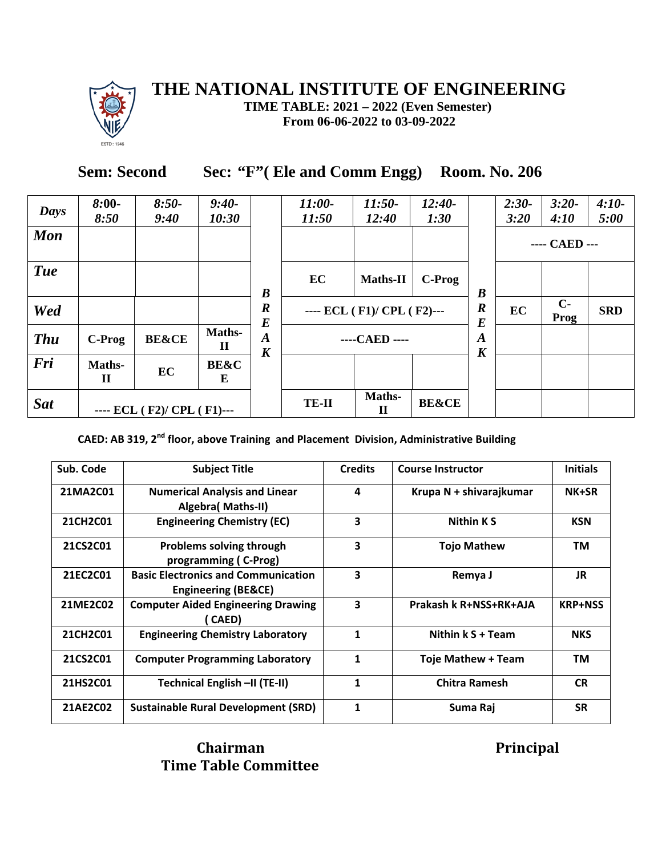

**TIME TABLE: 2021 – 2022 (Even Semester) From 06-06-2022 to 03-09-2022**

# **Sem: Second Sec: "F"( Ele and Comm Engg) Room. No. 206**

| Days       | $8:00-$<br>8:50        | $8:50-$<br>9:40            | $9:40-$<br>10:30             |                                      | $11:00-$<br>11:50 | $11:50-$<br>12:40          | $12:40-$<br>1:30 |                                      | $2:30-$<br>3:20 | $3:20-$<br>4:10 | $4:10-$<br>5:00 |
|------------|------------------------|----------------------------|------------------------------|--------------------------------------|-------------------|----------------------------|------------------|--------------------------------------|-----------------|-----------------|-----------------|
| <b>Mon</b> |                        |                            |                              |                                      |                   |                            |                  |                                      |                 | ---- CAED ---   |                 |
| <b>Tue</b> |                        |                            |                              | $\boldsymbol{B}$                     | EC                | <b>Maths-II</b>            | C-Prog           | $\boldsymbol{B}$                     |                 |                 |                 |
| Wed        |                        |                            |                              | $\boldsymbol{R}$<br>$\bm E$          |                   | ---- ECL (F1)/ CPL (F2)--- |                  | $\boldsymbol{R}$<br>$\bm E$          | EC              | $C-$<br>Prog    | <b>SRD</b>      |
| <b>Thu</b> | C-Prog                 | <b>BE&amp;CE</b>           | <b>Maths-</b><br>$\mathbf H$ | $\boldsymbol{A}$<br>$\boldsymbol{K}$ |                   | ----CAED ----              |                  | $\boldsymbol{A}$<br>$\boldsymbol{K}$ |                 |                 |                 |
| Fri        | Maths-<br>$\mathbf{I}$ | EC                         | <b>BE&amp;C</b><br>E         |                                      |                   |                            |                  |                                      |                 |                 |                 |
| <b>Sat</b> |                        | ---- ECL (F2)/ CPL (F1)--- |                              |                                      | <b>TE-II</b>      | Maths-<br>$\mathbf H$      | <b>BE&amp;CE</b> |                                      |                 |                 |                 |

**CAED: AB 319, 2nd floor, above Training and Placement Division, Administrative Building**

| Sub. Code       | <b>Subject Title</b>                                                         | <b>Credits</b> | <b>Course Instructor</b>  | <b>Initials</b> |
|-----------------|------------------------------------------------------------------------------|----------------|---------------------------|-----------------|
| 21MA2C01        | <b>Numerical Analysis and Linear</b><br>Algebra( Maths-II)                   | 4              | Krupa N + shivarajkumar   | NK+SR           |
| <b>21CH2C01</b> | <b>Engineering Chemistry (EC)</b>                                            | 3              | <b>Nithin KS</b>          | <b>KSN</b>      |
| 21CS2C01        | <b>Problems solving through</b><br>programming (C-Prog)                      | 3              | <b>Tojo Mathew</b>        | TM              |
| 21EC2C01        | <b>Basic Electronics and Communication</b><br><b>Engineering (BE&amp;CE)</b> | 3              | Remya J                   | <b>JR</b>       |
| 21ME2C02        | <b>Computer Aided Engineering Drawing</b><br>( CAED)                         | 3              | Prakash k R+NSS+RK+AJA    | <b>KRP+NSS</b>  |
| 21CH2C01        | <b>Engineering Chemistry Laboratory</b>                                      | 1              | Nithin k S + Team         | <b>NKS</b>      |
| 21CS2C01        | <b>Computer Programming Laboratory</b>                                       | 1              | <b>Toje Mathew + Team</b> | TM              |
| 21HS2C01        | Technical English -II (TE-II)                                                | 1              | <b>Chitra Ramesh</b>      | <b>CR</b>       |
| 21AE2C02        | <b>Sustainable Rural Development (SRD)</b>                                   | 1              | Suma Raj                  | <b>SR</b>       |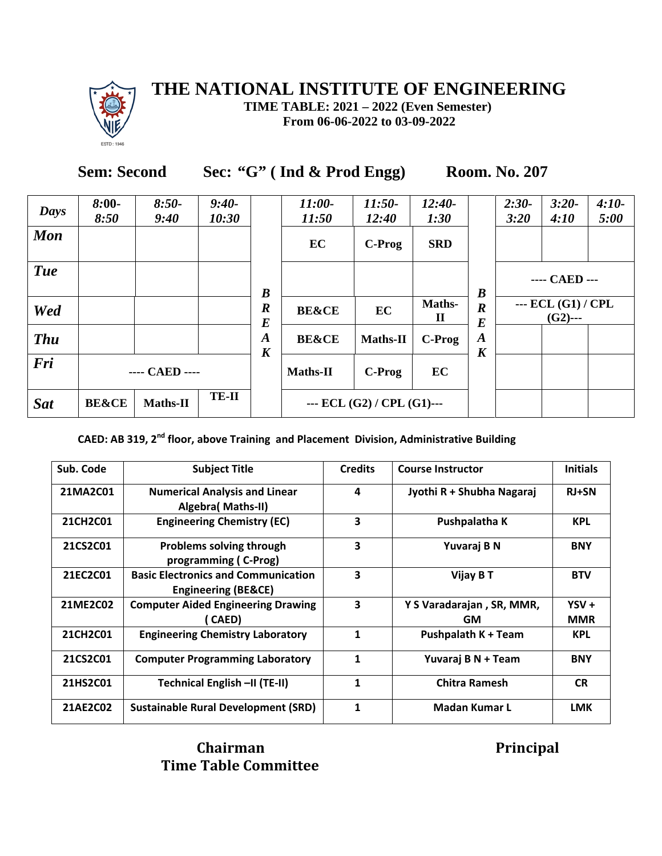

**TIME TABLE: 2021 – 2022 (Even Semester) From 06-06-2022 to 03-09-2022**

**Sem: Second Sec: "G" ( Ind & Prod Engg) Room. No. 207**

| Days       | $8:00-$<br>8:50  | $8:50-$<br>9:40 | $9:40-$<br>10:30 |                                      | $11:00-$<br>11:50 | $11:50-$<br>12:40                       | $12:40-$<br>1:30       |                                      | $2:30-$<br>3:20 | $3:20-$<br>4:10                  | $4:10-$<br>5:00 |  |
|------------|------------------|-----------------|------------------|--------------------------------------|-------------------|-----------------------------------------|------------------------|--------------------------------------|-----------------|----------------------------------|-----------------|--|
| <b>Mon</b> |                  |                 |                  |                                      | EC                | C-Prog                                  | <b>SRD</b>             |                                      |                 |                                  |                 |  |
| <b>Tue</b> |                  |                 |                  | $\boldsymbol{B}$                     |                   |                                         |                        | $\boldsymbol{B}$                     |                 | ---- CAED ---                    |                 |  |
| Wed        |                  |                 |                  | $\boldsymbol{R}$<br>$\boldsymbol{E}$ | <b>BE&amp;CE</b>  | EC                                      | Maths-<br>$\mathbf{I}$ | $\boldsymbol{R}$<br>$\bm E$          |                 | $-$ ECL (G1) / CPL<br>$(G2)$ --- |                 |  |
| <b>Thu</b> |                  |                 |                  | $\boldsymbol{A}$<br>$\boldsymbol{K}$ | <b>BE&amp;CE</b>  | <b>Maths-II</b>                         | C-Prog                 | $\boldsymbol{A}$<br>$\boldsymbol{K}$ |                 |                                  |                 |  |
| Fri        |                  | ---- CAED ----  |                  |                                      | <b>Maths-II</b>   | C-Prog                                  | EC                     |                                      |                 |                                  |                 |  |
| <b>Sat</b> | <b>BE&amp;CE</b> | <b>Maths-II</b> | <b>TE-II</b>     |                                      |                   | $\text{}$ ECL (G2) / CPL (G1) $\text{}$ |                        |                                      |                 |                                  |                 |  |

**CAED: AB 319, 2nd floor, above Training and Placement Division, Administrative Building**

| Sub. Code | <b>Subject Title</b>                                                         | <b>Credits</b> | <b>Course Instructor</b>        | <b>Initials</b>       |
|-----------|------------------------------------------------------------------------------|----------------|---------------------------------|-----------------------|
| 21MA2C01  | <b>Numerical Analysis and Linear</b><br>Algebra( Maths-II)                   | 4              | Jyothi R + Shubha Nagaraj       | <b>RJ+SN</b>          |
| 21CH2C01  | <b>Engineering Chemistry (EC)</b>                                            | 3              | Pushpalatha K                   | <b>KPL</b>            |
| 21CS2C01  | <b>Problems solving through</b><br>programming (C-Prog)                      | 3              | Yuvaraj B N                     | <b>BNY</b>            |
| 21EC2C01  | <b>Basic Electronics and Communication</b><br><b>Engineering (BE&amp;CE)</b> | 3              | Vijay B T                       | <b>BTV</b>            |
| 21ME2C02  | <b>Computer Aided Engineering Drawing</b><br>( CAED)                         | 3              | Y S Varadarajan, SR, MMR,<br>GM | $YSV +$<br><b>MMR</b> |
| 21CH2C01  | <b>Engineering Chemistry Laboratory</b>                                      | 1              | <b>Pushpalath K + Team</b>      | <b>KPL</b>            |
| 21CS2C01  | <b>Computer Programming Laboratory</b>                                       | $\mathbf{1}$   | Yuvaraj B N + Team              | <b>BNY</b>            |
| 21HS2C01  | Technical English -II (TE-II)                                                | $\mathbf{1}$   | <b>Chitra Ramesh</b>            | <b>CR</b>             |
| 21AE2C02  | Sustainable Rural Development (SRD)                                          | 1              | Madan Kumar L                   | <b>LMK</b>            |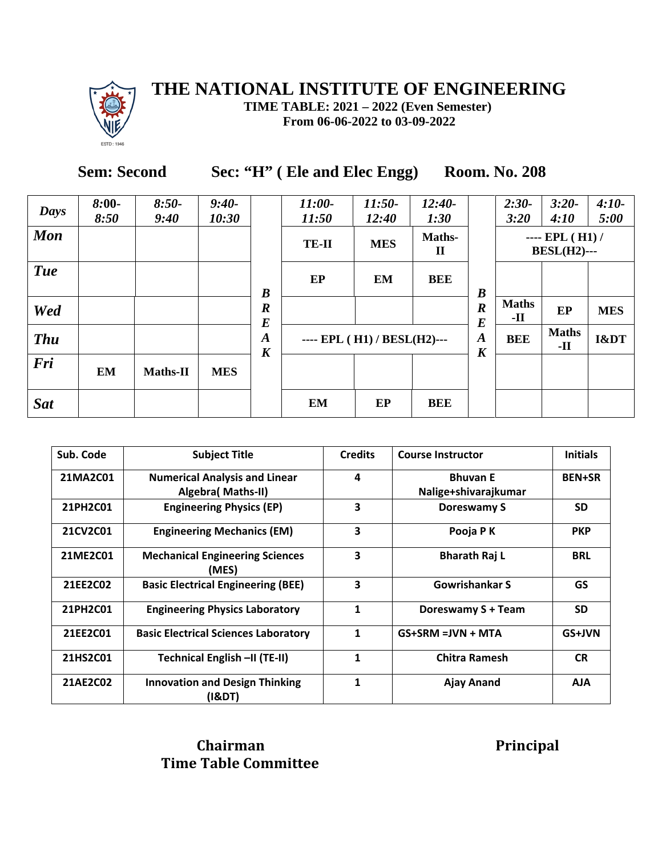

**TIME TABLE: 2021 – 2022 (Even Semester) From 06-06-2022 to 03-09-2022**

# **Sem: Second Sec: "H" ( Ele and Elec Engg) Room. No. 208**

| <b>Days</b> | $8:00-$<br>8:50 | $8:50-$<br>9:40 | $9:40-$<br>10:30 |                                      | $11:00-$<br>11:50 | $11:50-$<br>12:40           | $12:40-$<br>1:30 |                                      | $2:30-$<br>3:20                          | $3:20-$<br>4:10              | $4:10-$<br>5:00 |
|-------------|-----------------|-----------------|------------------|--------------------------------------|-------------------|-----------------------------|------------------|--------------------------------------|------------------------------------------|------------------------------|-----------------|
| <b>Mon</b>  |                 |                 |                  |                                      | <b>TE-II</b>      | Maths-<br>$\mathbf H$       |                  |                                      | $---$ EPL $(H1)$ /<br><b>BESL(H2)---</b> |                              |                 |
| <b>Tue</b>  |                 |                 |                  | $\boldsymbol{B}$                     | EP                | EM                          | <b>BEE</b>       | $\boldsymbol{B}$                     |                                          |                              |                 |
| Wed         |                 |                 |                  | $\boldsymbol{R}$<br>$\bm E$          |                   |                             |                  | $\boldsymbol{R}$<br>$\boldsymbol{E}$ | <b>Maths</b><br>-11                      | EP                           | <b>MES</b>      |
| <b>Thu</b>  |                 |                 |                  | $\boldsymbol{A}$<br>$\boldsymbol{K}$ |                   | ---- EPL (H1) / BESL(H2)--- |                  | $\boldsymbol{A}$<br>$\boldsymbol{K}$ | <b>BEE</b>                               | <b>Maths</b><br>$\mathbf{H}$ | I&DT            |
| Fri         | EM              | <b>Maths-II</b> | <b>MES</b>       |                                      |                   |                             |                  |                                      |                                          |                              |                 |
| <b>Sat</b>  |                 |                 |                  |                                      | EM                | EP                          | <b>BEE</b>       |                                      |                                          |                              |                 |

| Sub. Code | <b>Subject Title</b>                            | <b>Credits</b>          | <b>Course Instructor</b> | <b>Initials</b> |
|-----------|-------------------------------------------------|-------------------------|--------------------------|-----------------|
| 21MA2C01  | <b>Numerical Analysis and Linear</b>            | $\overline{\mathbf{4}}$ | <b>Bhuvan E</b>          | <b>BEN+SR</b>   |
|           | Algebra( Maths-II)                              |                         | Nalige+shivarajkumar     |                 |
| 21PH2C01  | <b>Engineering Physics (EP)</b>                 | 3                       | Doreswamy S              | <b>SD</b>       |
| 21CV2C01  | <b>Engineering Mechanics (EM)</b>               | 3                       | Pooja PK                 | <b>PKP</b>      |
| 21ME2C01  | <b>Mechanical Engineering Sciences</b><br>(MES) | 3                       | <b>Bharath Raj L</b>     | <b>BRL</b>      |
| 21EE2C02  | <b>Basic Electrical Engineering (BEE)</b>       | 3                       | Gowrishankar S           | <b>GS</b>       |
| 21PH2C01  | <b>Engineering Physics Laboratory</b>           | 1                       | Doreswamy S + Team       | <b>SD</b>       |
| 21EE2C01  | <b>Basic Electrical Sciences Laboratory</b>     | 1                       | $GS+SRM = JVN + MTA$     | GS+JVN          |
| 21HS2C01  | Technical English -II (TE-II)                   | 1                       | <b>Chitra Ramesh</b>     | <b>CR</b>       |
| 21AE2C02  | <b>Innovation and Design Thinking</b><br>(I&DT) | 1                       | Ajay Anand               | <b>AJA</b>      |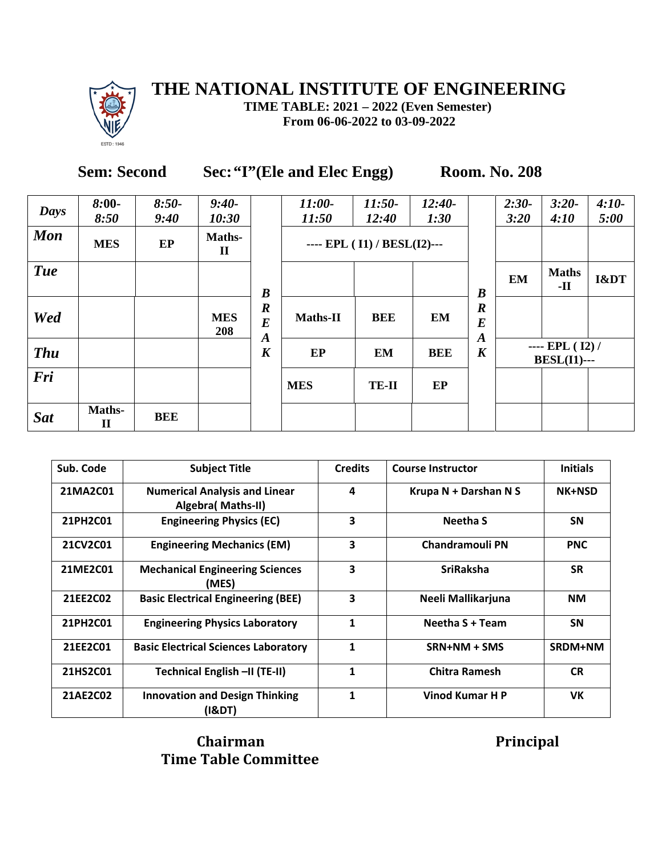

**TIME TABLE: 2021 – 2022 (Even Semester) From 06-06-2022 to 03-09-2022**

### **Sem: Second Sec:"I"(Ele and Elec Engg) Room. No. 208**

| Days       | $8:00-$<br>8:50        | $8:50-$<br>9:40 | $9:40-$<br>10:30       |                                                          | $11:00-$<br>11:50 | $11:50-$<br>12:40           | $12:40-$<br>1:30 |                                                 | $2:30-$<br>3:20 | $3:20-$<br>4:10                        | $4:10-$<br>5:00 |
|------------|------------------------|-----------------|------------------------|----------------------------------------------------------|-------------------|-----------------------------|------------------|-------------------------------------------------|-----------------|----------------------------------------|-----------------|
| <b>Mon</b> | <b>MES</b>             | EP              | Maths-<br>$\mathbf{I}$ |                                                          |                   | ---- EPL (I1) / BESL(I2)--- |                  |                                                 |                 |                                        |                 |
| <b>Tue</b> |                        |                 |                        | $\boldsymbol{B}$                                         |                   |                             |                  | $\boldsymbol{B}$                                | <b>EM</b>       | <b>Maths</b><br>$\mathbf{H}$           | I&DT            |
| Wed        |                        |                 | <b>MES</b><br>208      | $\boldsymbol{R}$<br>$\boldsymbol{E}$<br>$\boldsymbol{A}$ | Maths-II          | <b>BEE</b>                  | <b>EM</b>        | $\boldsymbol{R}$<br>$\bm E$<br>$\boldsymbol{A}$ |                 |                                        |                 |
| <b>Thu</b> |                        |                 |                        | $\boldsymbol{K}$                                         | EP                | <b>EM</b>                   | <b>BEE</b>       | $\boldsymbol{K}$                                |                 | $--- EPL (I2) /$<br><b>BESL(I1)---</b> |                 |
| Fri        |                        |                 |                        |                                                          | <b>MES</b>        | <b>TE-II</b>                | EP               |                                                 |                 |                                        |                 |
| <b>Sat</b> | Maths-<br>$\mathbf{I}$ | <b>BEE</b>      |                        |                                                          |                   |                             |                  |                                                 |                 |                                        |                 |

| Sub. Code | <b>Subject Title</b>                                       | <b>Credits</b> | <b>Course Instructor</b> | <b>Initials</b> |
|-----------|------------------------------------------------------------|----------------|--------------------------|-----------------|
| 21MA2C01  | <b>Numerical Analysis and Linear</b><br>Algebra( Maths-II) | 4              | Krupa N + Darshan N S    | <b>NK+NSD</b>   |
| 21PH2C01  | <b>Engineering Physics (EC)</b>                            | 3              | <b>Neetha S</b>          | <b>SN</b>       |
| 21CV2C01  | <b>Engineering Mechanics (EM)</b>                          | 3              | <b>Chandramouli PN</b>   | <b>PNC</b>      |
| 21ME2C01  | <b>Mechanical Engineering Sciences</b><br>(MES)            | 3              | <b>SriRaksha</b>         | <b>SR</b>       |
| 21EE2C02  | <b>Basic Electrical Engineering (BEE)</b>                  | 3              | Neeli Mallikarjuna       | <b>NM</b>       |
| 21PH2C01  | <b>Engineering Physics Laboratory</b>                      | 1              | Neetha S + Team          | <b>SN</b>       |
| 21EE2C01  | <b>Basic Electrical Sciences Laboratory</b>                | 1              | SRN+NM + SMS             | SRDM+NM         |
| 21HS2C01  | Technical English -II (TE-II)                              | 1              | <b>Chitra Ramesh</b>     | <b>CR</b>       |
| 21AE2C02  | <b>Innovation and Design Thinking</b><br>(I&DT)            | 1              | Vinod Kumar H P          | <b>VK</b>       |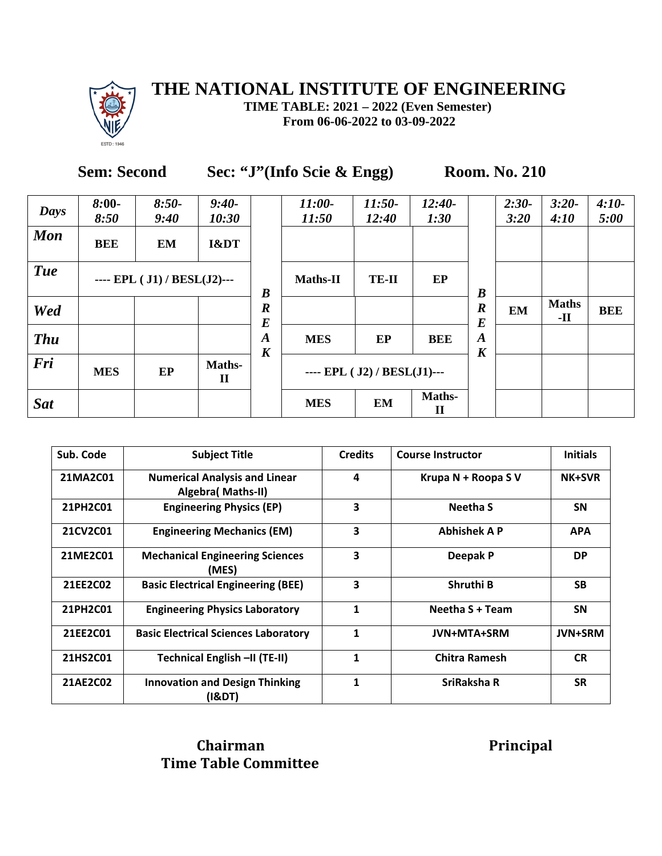

**TIME TABLE: 2021 – 2022 (Even Semester) From 06-06-2022 to 03-09-2022**

| <b>Sem: Second</b> | Sec: "J"(Info Scie & Engg) |
|--------------------|----------------------------|
|--------------------|----------------------------|

**Room. No.** 210

| Days       | $8:00-$<br>8:50 | $8:50-$<br>9:40              | $9:40-$<br>10:30      |                                      | $11:00-$<br>11:50 | $11:50-$<br>12:40            | $12:40-$<br>1:30 |                                      | $2:30-$<br>3:20 | $3:20-$<br>4:10     | $4:10-$<br>5:00 |
|------------|-----------------|------------------------------|-----------------------|--------------------------------------|-------------------|------------------------------|------------------|--------------------------------------|-----------------|---------------------|-----------------|
| <b>Mon</b> | <b>BEE</b>      | <b>EM</b>                    | I&DT                  |                                      |                   |                              |                  |                                      |                 |                     |                 |
| <b>Tue</b> |                 | ---- EPL ( J1) / BESL(J2)--- |                       | $\boldsymbol{B}$                     | <b>Maths-II</b>   | <b>TE-II</b>                 | EP               | $\boldsymbol{B}$                     |                 |                     |                 |
| Wed        |                 |                              |                       | $\boldsymbol{R}$<br>$\boldsymbol{E}$ |                   |                              |                  | $\boldsymbol{R}$<br>$\bm E$          | <b>EM</b>       | <b>Maths</b><br>-11 | <b>BEE</b>      |
| <b>Thu</b> |                 |                              |                       | $\boldsymbol{A}$<br>$\boldsymbol{K}$ | <b>MES</b>        | EP                           | <b>BEE</b>       | $\boldsymbol{A}$<br>$\boldsymbol{K}$ |                 |                     |                 |
| Fri        | <b>MES</b>      | EP                           | Maths-<br>$\mathbf H$ |                                      |                   | ---- EPL ( J2) / BESL(J1)--- |                  |                                      |                 |                     |                 |
| <b>Sat</b> |                 |                              |                       |                                      | <b>MES</b>        | <b>EM</b>                    | Maths-<br>П      |                                      |                 |                     |                 |

| Sub. Code | <b>Subject Title</b>                                              | <b>Credits</b> | <b>Course Instructor</b> | <b>Initials</b> |
|-----------|-------------------------------------------------------------------|----------------|--------------------------|-----------------|
| 21MA2C01  | <b>Numerical Analysis and Linear</b><br><b>Algebra</b> (Maths-II) | 4              | Krupa N + Roopa S V      | <b>NK+SVR</b>   |
| 21PH2C01  | <b>Engineering Physics (EP)</b>                                   | 3              | <b>Neetha S</b>          | <b>SN</b>       |
| 21CV2C01  | <b>Engineering Mechanics (EM)</b>                                 | 3              | <b>Abhishek A P</b>      | <b>APA</b>      |
| 21ME2C01  | <b>Mechanical Engineering Sciences</b><br>(MES)                   | 3              | Deepak P                 | <b>DP</b>       |
| 21EE2C02  | <b>Basic Electrical Engineering (BEE)</b>                         | 3              | Shruthi B                | <b>SB</b>       |
| 21PH2C01  | <b>Engineering Physics Laboratory</b>                             | 1              | Neetha S + Team          | <b>SN</b>       |
| 21EE2C01  | <b>Basic Electrical Sciences Laboratory</b>                       | 1              | <b>JVN+MTA+SRM</b>       | <b>JVN+SRM</b>  |
| 21HS2C01  | Technical English -II (TE-II)                                     | 1              | <b>Chitra Ramesh</b>     | <b>CR</b>       |
| 21AE2C02  | <b>Innovation and Design Thinking</b><br>(I&DT)                   | 1              | SriRaksha R              | <b>SR</b>       |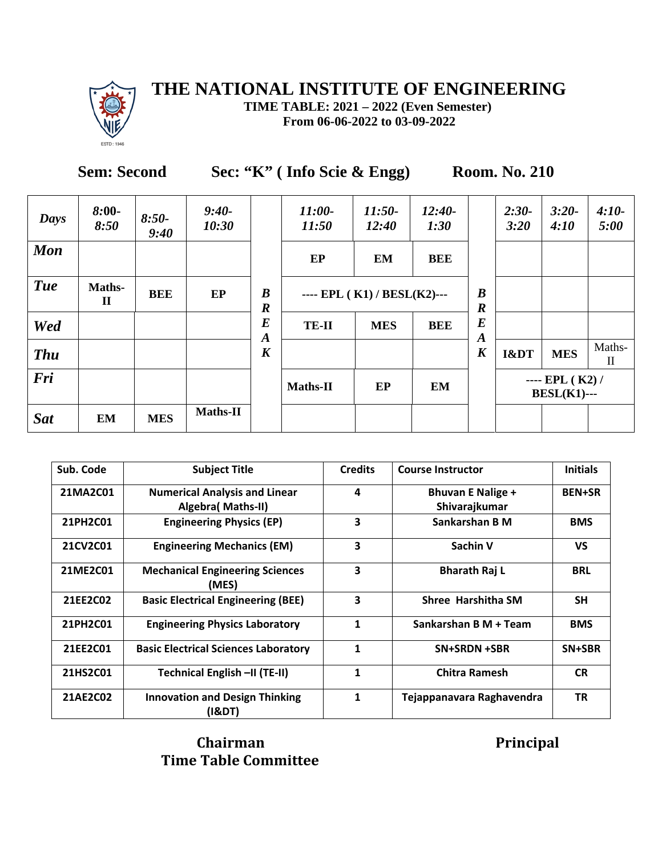

**TIME TABLE: 2021 – 2022 (Even Semester) From 06-06-2022 to 03-09-2022**

**Sem: Second** Sec: "K" ( Info Scie & Engg) Room. No. 210

| Days       | $8:00-$<br>8:50        | $8:50-$<br>9:40 | $9:40-$<br>10:30 |                                      | 11:00-<br>11:50 | $11:50-$<br>12:40           | $12:40-$<br>1:30 |                                      | $2:30-$<br>3:20 | $3:20-$<br>4:10                         | $4:10-$<br>5:00        |
|------------|------------------------|-----------------|------------------|--------------------------------------|-----------------|-----------------------------|------------------|--------------------------------------|-----------------|-----------------------------------------|------------------------|
| <b>Mon</b> |                        |                 |                  |                                      | EP              | <b>EM</b>                   | <b>BEE</b>       |                                      |                 |                                         |                        |
| <b>Tue</b> | Maths-<br>$\mathbf{I}$ | <b>BEE</b>      | EP               | $\boldsymbol{B}$<br>$\boldsymbol{R}$ |                 | ---- EPL (K1) / BESL(K2)--- |                  | $\boldsymbol{B}$<br>$\boldsymbol{R}$ |                 |                                         |                        |
| Wed        |                        |                 |                  | $\bm E$<br>$\boldsymbol{A}$          | <b>TE-II</b>    | <b>MES</b>                  | <b>BEE</b>       | $\bm E$<br>$\boldsymbol{A}$          |                 |                                         |                        |
| <b>Thu</b> |                        |                 |                  | $\boldsymbol{K}$                     |                 |                             |                  | $\boldsymbol{K}$                     | I&DT            | <b>MES</b>                              | Maths-<br>$\mathbf{I}$ |
| Fri        |                        |                 |                  |                                      | Maths-II        | EP                          | EM               |                                      |                 | ---- $EPL (K2) /$<br><b>BESL(K1)---</b> |                        |
| <b>Sat</b> | EM                     | <b>MES</b>      | <b>Maths-II</b>  |                                      |                 |                             |                  |                                      |                 |                                         |                        |

| Sub. Code | <b>Subject Title</b>                                       | <b>Credits</b> | <b>Course Instructor</b>                  | <b>Initials</b> |
|-----------|------------------------------------------------------------|----------------|-------------------------------------------|-----------------|
| 21MA2C01  | <b>Numerical Analysis and Linear</b><br>Algebra( Maths-II) | 4              | <b>Bhuvan E Nalige +</b><br>Shivarajkumar | <b>BEN+SR</b>   |
| 21PH2C01  | <b>Engineering Physics (EP)</b>                            | 3              | Sankarshan B M                            | <b>BMS</b>      |
| 21CV2C01  | <b>Engineering Mechanics (EM)</b>                          | 3              | Sachin V                                  | <b>VS</b>       |
| 21ME2C01  | <b>Mechanical Engineering Sciences</b><br>(MES)            | 3              | <b>Bharath Raj L</b>                      | <b>BRL</b>      |
| 21EE2C02  | <b>Basic Electrical Engineering (BEE)</b>                  | 3              | Shree Harshitha SM                        | <b>SH</b>       |
| 21PH2C01  | <b>Engineering Physics Laboratory</b>                      | 1              | Sankarshan B M + Team                     | <b>BMS</b>      |
| 21EE2C01  | <b>Basic Electrical Sciences Laboratory</b>                | 1              | SN+SRDN +SBR                              | SN+SBR          |
| 21HS2C01  | Technical English -II (TE-II)                              | 1              | <b>Chitra Ramesh</b>                      | <b>CR</b>       |
| 21AE2C02  | <b>Innovation and Design Thinking</b><br>(I&DT)            | 1              | Tejappanavara Raghavendra                 | <b>TR</b>       |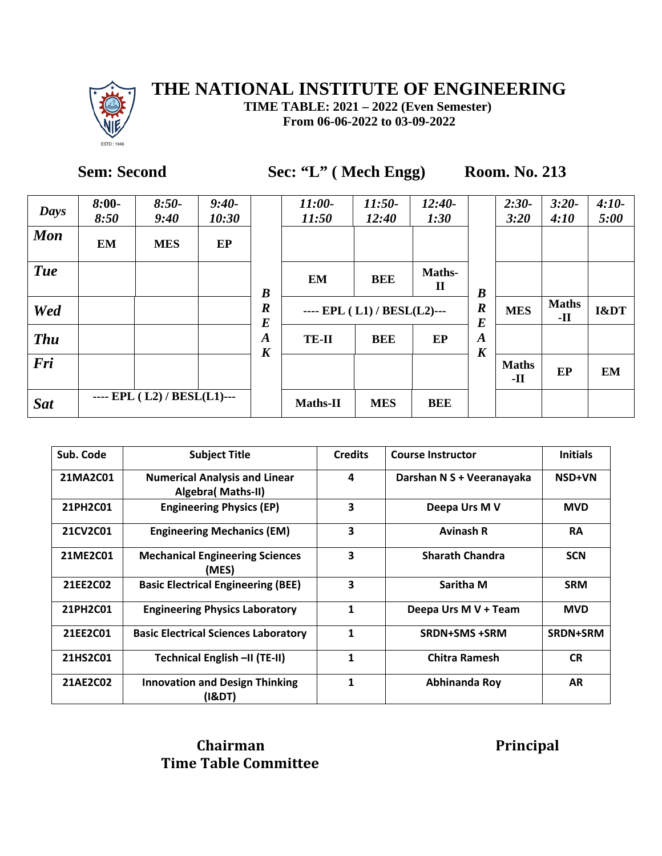

**TIME TABLE: 2021 – 2022 (Even Semester) From 06-06-2022 to 03-09-2022**

Sem: Second Sec: "L" ( Mech Engg) Room. No. 213

| <b>Days</b> | $8:00-$<br>8:50 | $8:50-$<br>9:40             | $9:40-$<br>10:30 |                                      | 11:00-<br>11:50 | 11:50-<br>12:40             | $12:40-$<br>1:30       |                                      | $2:30-$<br>3:20     | $3:20-$<br>4:10       | $4:10-$<br>5:00 |
|-------------|-----------------|-----------------------------|------------------|--------------------------------------|-----------------|-----------------------------|------------------------|--------------------------------------|---------------------|-----------------------|-----------------|
| <b>Mon</b>  | <b>EM</b>       | <b>MES</b>                  | EP               |                                      |                 |                             |                        |                                      |                     |                       |                 |
| <b>Tue</b>  |                 |                             |                  | $\boldsymbol{B}$                     | <b>EM</b>       | <b>BEE</b>                  | Maths-<br>$\mathbf{I}$ | $\boldsymbol{B}$                     |                     |                       |                 |
| Wed         |                 |                             |                  | $\boldsymbol{R}$<br>$\boldsymbol{E}$ |                 | ---- EPL (L1) / BESL(L2)--- |                        | $\boldsymbol{R}$<br>$\bm E$          | <b>MES</b>          | <b>Maths</b><br>$-II$ | I&DT            |
| <b>Thu</b>  |                 |                             |                  | $\boldsymbol{A}$<br>$\boldsymbol{K}$ | TE-II           | <b>BEE</b>                  | EP                     | $\boldsymbol{A}$<br>$\boldsymbol{K}$ |                     |                       |                 |
| Fri         |                 |                             |                  |                                      |                 |                             |                        |                                      | <b>Maths</b><br>-11 | EP                    | <b>EM</b>       |
| <b>Sat</b>  |                 | ---- EPL (L2) / BESL(L1)--- |                  |                                      | <b>Maths-II</b> | <b>MES</b>                  | BEE                    |                                      |                     |                       |                 |

| Sub. Code | <b>Subject Title</b>                                       | <b>Credits</b> | <b>Course Instructor</b>  | <b>Initials</b> |
|-----------|------------------------------------------------------------|----------------|---------------------------|-----------------|
| 21MA2C01  | <b>Numerical Analysis and Linear</b><br>Algebra( Maths-II) | 4              | Darshan N S + Veeranayaka | <b>NSD+VN</b>   |
| 21PH2C01  | <b>Engineering Physics (EP)</b>                            | 3              | Deepa Urs M V             | <b>MVD</b>      |
| 21CV2C01  | <b>Engineering Mechanics (EM)</b>                          | 3              | <b>Avinash R</b>          | <b>RA</b>       |
| 21ME2C01  | <b>Mechanical Engineering Sciences</b><br>(MES)            | 3              | <b>Sharath Chandra</b>    | <b>SCN</b>      |
| 21EE2C02  | <b>Basic Electrical Engineering (BEE)</b>                  | 3              | Saritha M                 | <b>SRM</b>      |
| 21PH2C01  | <b>Engineering Physics Laboratory</b>                      | 1              | Deepa Urs M V + Team      | <b>MVD</b>      |
| 21EE2C01  | <b>Basic Electrical Sciences Laboratory</b>                | 1              | <b>SRDN+SMS +SRM</b>      | SRDN+SRM        |
| 21HS2C01  | Technical English -II (TE-II)                              | 1              | <b>Chitra Ramesh</b>      | <b>CR</b>       |
| 21AE2C02  | <b>Innovation and Design Thinking</b><br>(I&DT)            | 1              | Abhinanda Roy             | <b>AR</b>       |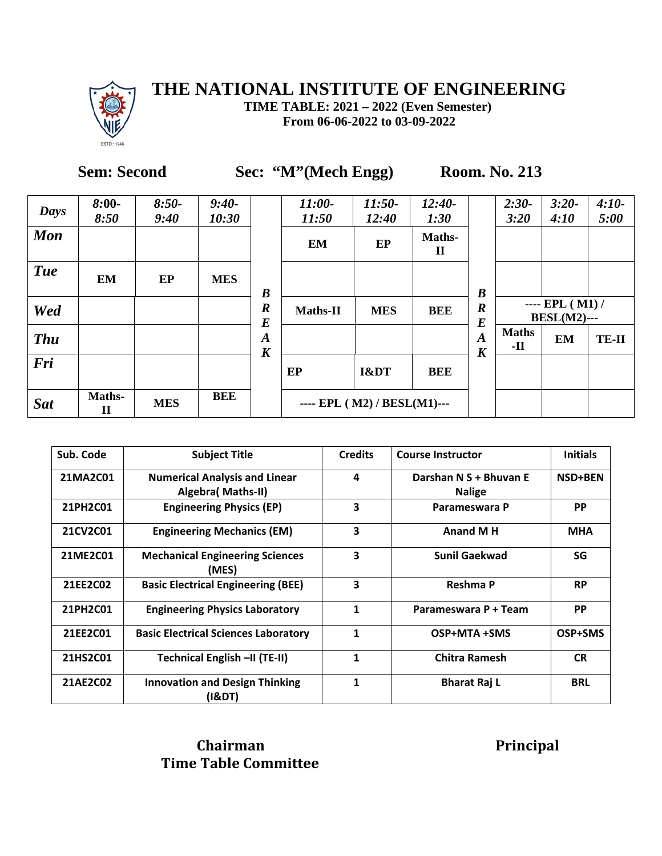

**TIME TABLE: 2021 – 2022 (Even Semester) From 06-06-2022 to 03-09-2022**

# **Sem: Second Sec: "M"(Mech Engg) Room. No. 213**

| Days       | $8:00-$<br>8:50        | $8:50-$<br>9:40 | $9:40-$<br>10:30 |                                      | 11:00-<br>11:50             | $11:50-$<br>12:40 | $12:40-$<br>1:30      |                                      | $2:30-$<br>3:20                          | $3:20-$<br>4:10 | $4:10-$<br>5:00 |
|------------|------------------------|-----------------|------------------|--------------------------------------|-----------------------------|-------------------|-----------------------|--------------------------------------|------------------------------------------|-----------------|-----------------|
| <b>Mon</b> |                        |                 |                  |                                      | <b>EM</b>                   | EP                | Maths-<br>$\mathbf H$ |                                      |                                          |                 |                 |
| <b>Tue</b> | EM                     | EP              | <b>MES</b>       | $\boldsymbol{B}$                     |                             |                   |                       | $\boldsymbol{B}$                     |                                          |                 |                 |
| Wed        |                        |                 |                  | $\boldsymbol{R}$<br>$\bm E$          | <b>Maths-II</b>             | <b>MES</b>        | <b>BEE</b>            | $\boldsymbol{R}$<br>$\bm E$          | $---$ EPL $(M1) /$<br><b>BESL(M2)---</b> |                 |                 |
| <b>Thu</b> |                        |                 |                  | $\boldsymbol{A}$<br>$\boldsymbol{K}$ |                             |                   |                       | $\boldsymbol{A}$<br>$\boldsymbol{K}$ | <b>Maths</b><br>-11                      | <b>EM</b>       | <b>TE-II</b>    |
| Fri        |                        |                 |                  |                                      | EP                          | I&DT              | BEE                   |                                      |                                          |                 |                 |
| <b>Sat</b> | Maths-<br>$\mathbf{I}$ | <b>MES</b>      | <b>BEE</b>       |                                      | ---- EPL (M2) / BESL(M1)--- |                   |                       |                                      |                                          |                 |                 |

| Sub. Code | <b>Subject Title</b>                                       | <b>Credits</b>          | <b>Course Instructor</b>                | <b>Initials</b> |
|-----------|------------------------------------------------------------|-------------------------|-----------------------------------------|-----------------|
| 21MA2C01  | <b>Numerical Analysis and Linear</b><br>Algebra( Maths-II) | 4                       | Darshan N S + Bhuvan E<br><b>Nalige</b> | <b>NSD+BEN</b>  |
| 21PH2C01  | <b>Engineering Physics (EP)</b>                            | 3                       | Parameswara P                           | <b>PP</b>       |
| 21CV2C01  | <b>Engineering Mechanics (EM)</b>                          | 3                       | <b>Anand M H</b>                        | <b>MHA</b>      |
| 21ME2C01  | <b>Mechanical Engineering Sciences</b><br>(MES)            | $\overline{\mathbf{3}}$ | <b>Sunil Gaekwad</b>                    | SG              |
| 21EE2C02  | <b>Basic Electrical Engineering (BEE)</b>                  | $\overline{\mathbf{3}}$ | Reshma P                                | <b>RP</b>       |
| 21PH2C01  | <b>Engineering Physics Laboratory</b>                      | $\mathbf{1}$            | Parameswara P + Team                    | <b>PP</b>       |
| 21EE2C01  | <b>Basic Electrical Sciences Laboratory</b>                | $\mathbf{1}$            | OSP+MTA +SMS                            | OSP+SMS         |
| 21HS2C01  | Technical English -II (TE-II)                              | $\mathbf{1}$            | <b>Chitra Ramesh</b>                    | <b>CR</b>       |
| 21AE2C02  | <b>Innovation and Design Thinking</b><br>(18DT)            | 1                       | <b>Bharat Raj L</b>                     | <b>BRL</b>      |